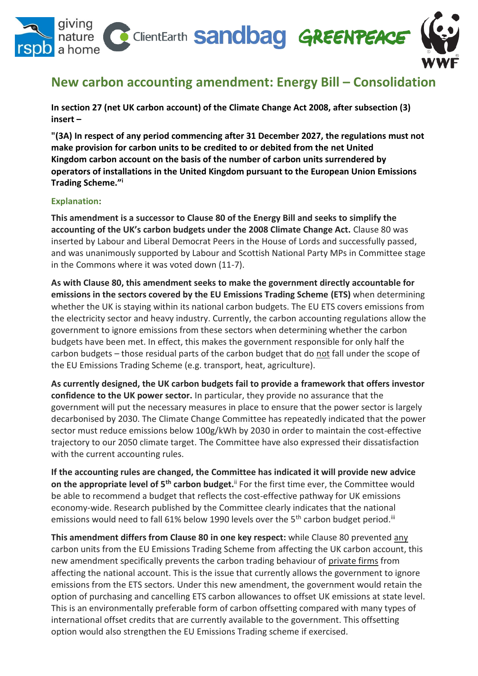

## **New carbon accounting amendment: Energy Bill – Consolidation**

**In section 27 (net UK carbon account) of the Climate Change Act 2008, after subsection (3) insert –**

**"(3A) In respect of any period commencing after 31 December 2027, the regulations must not make provision for carbon units to be credited to or debited from the net United Kingdom carbon account on the basis of the number of carbon units surrendered by operators of installations in the United Kingdom pursuant to the European Union Emissions Trading Scheme."<sup>i</sup>**

### **Explanation:**

**This amendment is a successor to Clause 80 of the Energy Bill and seeks to simplify the accounting of the UK's carbon budgets under the 2008 Climate Change Act.** Clause 80 was inserted by Labour and Liberal Democrat Peers in the House of Lords and successfully passed, and was unanimously supported by Labour and Scottish National Party MPs in Committee stage in the Commons where it was voted down (11-7).

**As with Clause 80, this amendment seeks to make the government directly accountable for emissions in the sectors covered by the EU Emissions Trading Scheme (ETS)** when determining whether the UK is staying within its national carbon budgets. The EU ETS covers emissions from the electricity sector and heavy industry. Currently, the carbon accounting regulations allow the government to ignore emissions from these sectors when determining whether the carbon budgets have been met. In effect, this makes the government responsible for only half the carbon budgets – those residual parts of the carbon budget that do not fall under the scope of the EU Emissions Trading Scheme (e.g. transport, heat, agriculture).

**As currently designed, the UK carbon budgets fail to provide a framework that offers investor confidence to the UK power sector.** In particular, they provide no assurance that the government will put the necessary measures in place to ensure that the power sector is largely decarbonised by 2030. The Climate Change Committee has repeatedly indicated that the power sector must reduce emissions below 100g/kWh by 2030 in order to maintain the cost-effective trajectory to our 2050 climate target. The Committee have also expressed their dissatisfaction with the current accounting rules.

**If the accounting rules are changed, the Committee has indicated it will provide new advice on the appropriate level of 5<sup>th</sup> carbon budget.**<sup>ii</sup> For the first time ever, the Committee would be able to recommend a budget that reflects the cost-effective pathway for UK emissions economy-wide. Research published by the Committee clearly indicates that the national emissions would need to fall 61% below 1990 levels over the 5<sup>th</sup> carbon budget period.<sup>iii</sup>

**This amendment differs from Clause 80 in one key respect:** while Clause 80 prevented any carbon units from the EU Emissions Trading Scheme from affecting the UK carbon account, this new amendment specifically prevents the carbon trading behaviour of private firms from affecting the national account. This is the issue that currently allows the government to ignore emissions from the ETS sectors. Under this new amendment, the government would retain the option of purchasing and cancelling ETS carbon allowances to offset UK emissions at state level. This is an environmentally preferable form of carbon offsetting compared with many types of international offset credits that are currently available to the government. This offsetting option would also strengthen the EU Emissions Trading scheme if exercised.